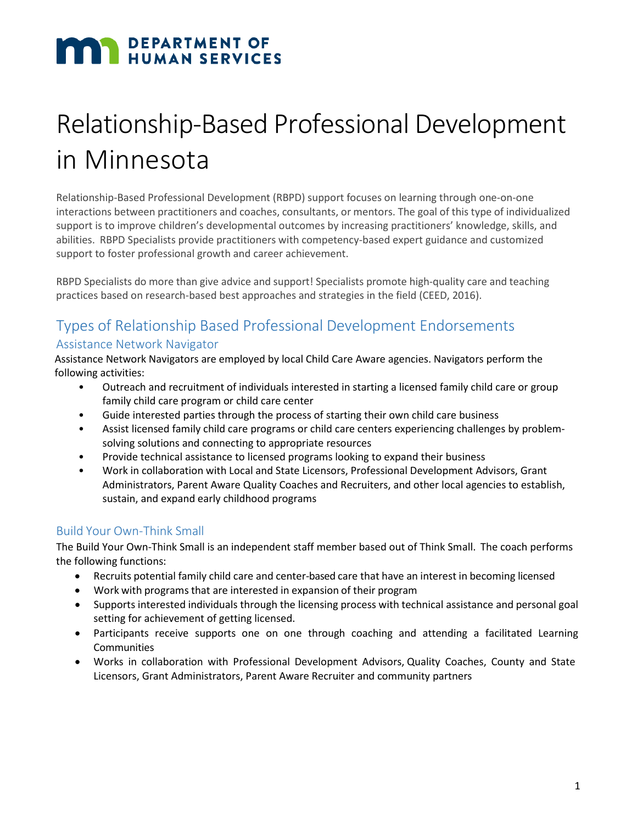# **MAN DEPARTMENT OF HUMAN SERVICES**

## Relationship-Based Professional Development in Minnesota

Relationship-Based Professional Development (RBPD) support focuses on learning through one-on-one interactions between practitioners and coaches, consultants, or mentors. The goal of this type of individualized support is to improve children's developmental outcomes by increasing practitioners' knowledge, skills, and abilities. RBPD Specialists provide practitioners with competency-based expert guidance and customized support to foster professional growth and career achievement.

RBPD Specialists do more than give advice and support! Specialists promote high-quality care and teaching practices based on research-based best approaches and strategies in the field (CEED, 2016).

### Types of Relationship Based Professional Development Endorsements

#### Assistance Network Navigator

Assistance Network Navigators are employed by local Child Care Aware agencies. Navigators perform the following activities:

- Outreach and recruitment of individuals interested in starting a licensed family child care or group family child care program or child care center
- Guide interested parties through the process of starting their own child care business
- Assist licensed family child care programs or child care centers experiencing challenges by problemsolving solutions and connecting to appropriate resources
- Provide technical assistance to licensed programs looking to expand their business
- Work in collaboration with Local and State Licensors, Professional Development Advisors, Grant Administrators, Parent Aware Quality Coaches and Recruiters, and other local agencies to establish, sustain, and expand early childhood programs

#### Build Your Own-Think Small

The Build Your Own-Think Small is an independent staff member based out of Think Small. The coach performs the following functions:

- Recruits potential family child care and center-based care that have an interest in becoming licensed
- Work with programs that are interested in expansion of their program
- Supports interested individuals through the licensing process with technical assistance and personal goal setting for achievement of getting licensed.
- Participants receive supports one on one through coaching and attending a facilitated Learning Communities
- Works in collaboration with Professional Development Advisors, Quality Coaches, County and State Licensors, Grant Administrators, Parent Aware Recruiter and community partners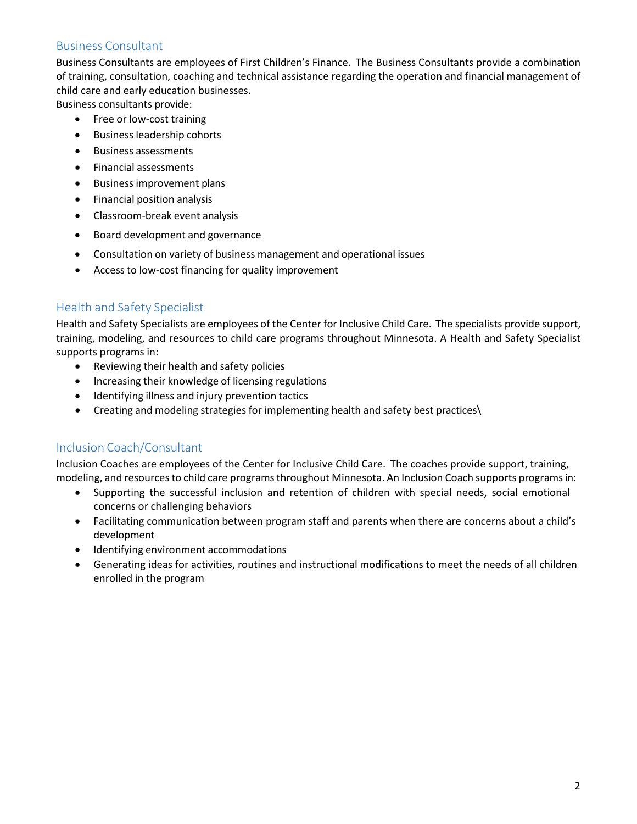#### Business Consultant

Business Consultants are employees of First Children's Finance. The Business Consultants provide a combination of training, consultation, coaching and technical assistance regarding the operation and financial management of child care and early education businesses.

Business consultants provide:

- Free or low-cost training
- Business leadership cohorts
- Business assessments
- Financial assessments
- Business improvement plans
- Financial position analysis
- Classroom-break event analysis
- Board development and governance
- Consultation on variety of business management and operational issues
- Access to low-cost financing for quality improvement

#### Health and Safety Specialist

Health and Safety Specialists are employees of the Center for Inclusive Child Care. The specialists provide support, training, modeling, and resources to child care programs throughout Minnesota. A Health and Safety Specialist supports programs in:

- Reviewing their health and safety policies
- Increasing their knowledge of licensing regulations
- Identifying illness and injury prevention tactics
- Creating and modeling strategies for implementing health and safety best practices\

#### Inclusion Coach/Consultant

Inclusion Coaches are employees of the Center for Inclusive Child Care. The coaches provide support, training, modeling, and resources to child care programs throughout Minnesota. An Inclusion Coach supports programs in:

- Supporting the successful inclusion and retention of children with special needs, social emotional concerns or challenging behaviors
- Facilitating communication between program staff and parents when there are concerns about a child's development
- Identifying environment accommodations
- Generating ideas for activities, routines and instructional modifications to meet the needs of all children enrolled in the program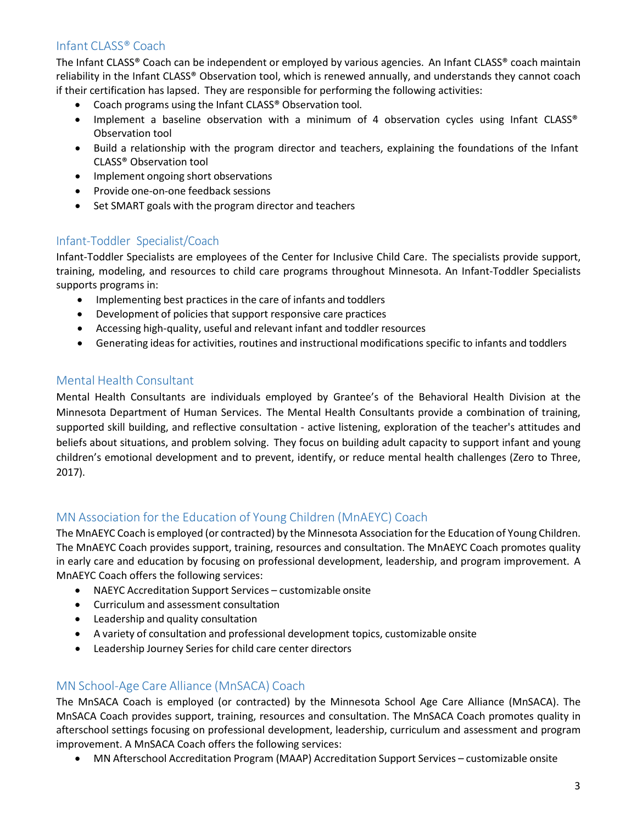#### Infant CLASS® Coach

The Infant CLASS® Coach can be independent or employed by various agencies. An Infant CLASS® coach maintain reliability in the Infant CLASS® Observation tool, which is renewed annually, and understands they cannot coach if their certification has lapsed. They are responsible for performing the following activities:

- Coach programs using the Infant CLASS® Observation tool.
- Implement a baseline observation with a minimum of 4 observation cycles using Infant CLASS® Observation tool
- Build a relationship with the program director and teachers, explaining the foundations of the Infant CLASS® Observation tool
- Implement ongoing short observations
- Provide one-on-one feedback sessions
- Set SMART goals with the program director and teachers

#### Infant-Toddler Specialist/Coach

Infant-Toddler Specialists are employees of the Center for Inclusive Child Care. The specialists provide support, training, modeling, and resources to child care programs throughout Minnesota. An Infant-Toddler Specialists supports programs in:

- Implementing best practices in the care of infants and toddlers
- Development of policies that support responsive care practices
- Accessing high-quality, useful and relevant infant and toddler resources
- Generating ideas for activities, routines and instructional modifications specific to infants and toddlers

#### Mental Health Consultant

Mental Health Consultants are individuals employed by Grantee's of the Behavioral Health Division at the Minnesota Department of Human Services. The Mental Health Consultants provide a combination of training, supported skill building, and reflective consultation - active listening, exploration of the teacher's attitudes and beliefs about situations, and problem solving. They focus on building adult capacity to support infant and young children's emotional development and to prevent, identify, or reduce mental health challenges (Zero to Three, 2017).

#### MN Association for the Education of Young Children (MnAEYC) Coach

The MnAEYC Coach is employed (or contracted) by the Minnesota Association forthe Education of Young Children. The MnAEYC Coach provides support, training, resources and consultation. The MnAEYC Coach promotes quality in early care and education by focusing on professional development, leadership, and program improvement. A MnAEYC Coach offers the following services:

- NAEYC Accreditation Support Services customizable onsite
- Curriculum and assessment consultation
- Leadership and quality consultation
- A variety of consultation and professional development topics, customizable onsite
- Leadership Journey Series for child care center directors

#### MN School-Age Care Alliance (MnSACA) Coach

The MnSACA Coach is employed (or contracted) by the Minnesota School Age Care Alliance (MnSACA). The MnSACA Coach provides support, training, resources and consultation. The MnSACA Coach promotes quality in afterschool settings focusing on professional development, leadership, curriculum and assessment and program improvement. A MnSACA Coach offers the following services:

• MN Afterschool Accreditation Program (MAAP) Accreditation Support Services – customizable onsite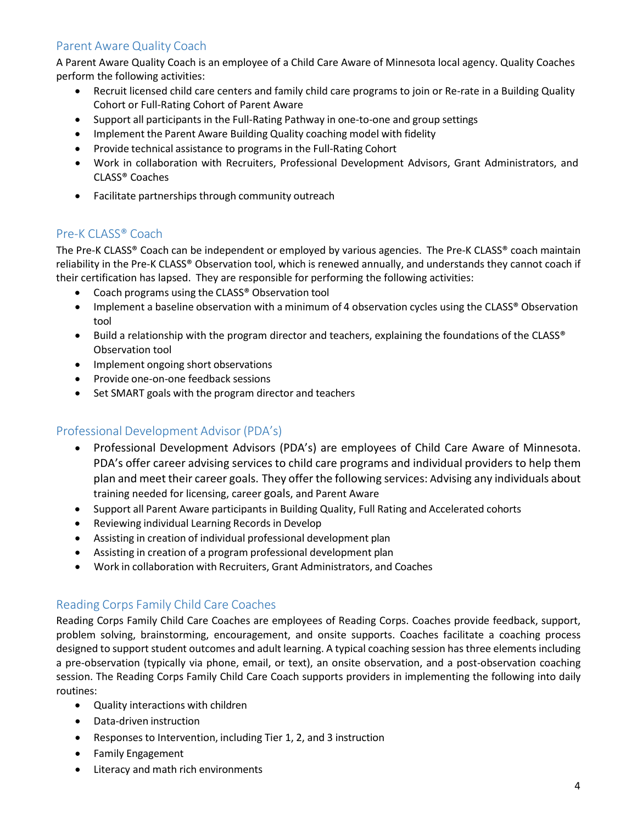#### Parent Aware Quality Coach

A Parent Aware Quality Coach is an employee of a Child Care Aware of Minnesota local agency. Quality Coaches perform the following activities:

- Recruit licensed child care centers and family child care programs to join or Re-rate in a Building Quality Cohort or Full-Rating Cohort of Parent Aware
- Support all participants in the Full-Rating Pathway in one-to-one and group settings
- Implement the Parent Aware Building Quality coaching model with fidelity
- Provide technical assistance to programs in the Full-Rating Cohort
- Work in collaboration with Recruiters, Professional Development Advisors, Grant Administrators, and CLASS® Coaches
- Facilitate partnerships through community outreach

#### Pre-K CLASS® Coach

The Pre-K CLASS® Coach can be independent or employed by various agencies. The Pre-K CLASS® coach maintain reliability in the Pre-K CLASS® Observation tool, which is renewed annually, and understands they cannot coach if their certification has lapsed. They are responsible for performing the following activities:

- Coach programs using the CLASS® Observation tool
- Implement a baseline observation with a minimum of 4 observation cycles using the CLASS® Observation tool
- Build a relationship with the program director and teachers, explaining the foundations of the CLASS® Observation tool
- Implement ongoing short observations
- Provide one-on-one feedback sessions
- Set SMART goals with the program director and teachers

#### Professional Development Advisor (PDA's)

- Professional Development Advisors (PDA's) are employees of Child Care Aware of Minnesota. PDA's offer career advising services to child care programs and individual providers to help them plan and meet their career goals. They offer the following services: Advising any individuals about training needed for licensing, career goals, and Parent Aware
- Support all Parent Aware participants in Building Quality, Full Rating and Accelerated cohorts
- Reviewing individual Learning Records in Develop
- Assisting in creation of individual professional development plan
- Assisting in creation of a program professional development plan
- Work in collaboration with Recruiters, Grant Administrators, and Coaches

#### Reading Corps Family Child Care Coaches

Reading Corps Family Child Care Coaches are employees of Reading Corps. Coaches provide feedback, support, problem solving, brainstorming, encouragement, and onsite supports. Coaches facilitate a coaching process designed to support student outcomes and adult learning. A typical coaching session has three elements including a pre-observation (typically via phone, email, or text), an onsite observation, and a post-observation coaching session. The Reading Corps Family Child Care Coach supports providers in implementing the following into daily routines:

- Quality interactions with children
- Data-driven instruction
- Responses to Intervention, including Tier 1, 2, and 3 instruction
- Family Engagement
- Literacy and math rich environments